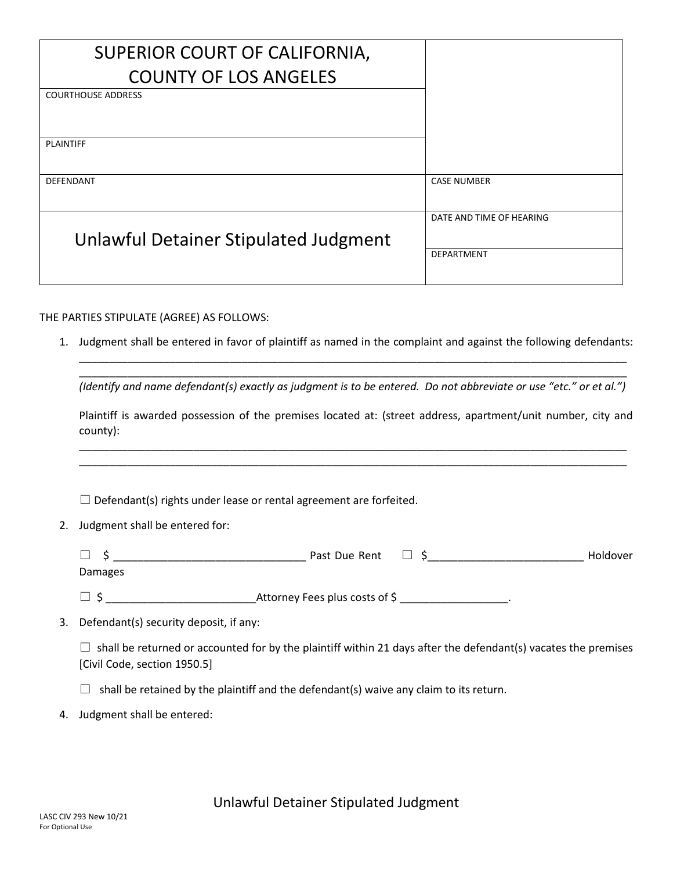| SUPERIOR COURT OF CALIFORNIA,         |                          |
|---------------------------------------|--------------------------|
| <b>COUNTY OF LOS ANGELES</b>          |                          |
| <b>COURTHOUSE ADDRESS</b>             |                          |
|                                       |                          |
| <b>PLAINTIFF</b>                      |                          |
| DEFENDANT                             | <b>CASE NUMBER</b>       |
|                                       |                          |
|                                       | DATE AND TIME OF HEARING |
| Unlawful Detainer Stipulated Judgment |                          |
|                                       | <b>DEPARTMENT</b>        |
|                                       |                          |

## THE PARTIES STIPULATE (AGREE) AS FOLLOWS:

1. Judgment shall be entered in favor of plaintiff as named in the complaint and against the following defendants: \_\_\_\_\_\_\_\_\_\_\_\_\_\_\_\_\_\_\_\_\_\_\_\_\_\_\_\_\_\_\_\_\_\_\_\_\_\_\_\_\_\_\_\_\_\_\_\_\_\_\_\_\_\_\_\_\_\_\_\_\_\_\_\_\_\_\_\_\_\_\_\_\_\_\_\_\_\_\_\_\_\_\_\_\_\_\_\_\_\_\_

\_\_\_\_\_\_\_\_\_\_\_\_\_\_\_\_\_\_\_\_\_\_\_\_\_\_\_\_\_\_\_\_\_\_\_\_\_\_\_\_\_\_\_\_\_\_\_\_\_\_\_\_\_\_\_\_\_\_\_\_\_\_\_\_\_\_\_\_\_\_\_\_\_\_\_\_\_\_\_\_\_\_\_\_\_\_\_\_\_\_\_ *(Identify and name defendant(s) exactly as judgment is to be entered. Do not abbreviate or use "etc." or et al.")*

Plaintiff is awarded possession of the premises located at: (street address, apartment/unit number, city and county):

\_\_\_\_\_\_\_\_\_\_\_\_\_\_\_\_\_\_\_\_\_\_\_\_\_\_\_\_\_\_\_\_\_\_\_\_\_\_\_\_\_\_\_\_\_\_\_\_\_\_\_\_\_\_\_\_\_\_\_\_\_\_\_\_\_\_\_\_\_\_\_\_\_\_\_\_\_\_\_\_\_\_\_\_\_\_\_\_\_\_\_ \_\_\_\_\_\_\_\_\_\_\_\_\_\_\_\_\_\_\_\_\_\_\_\_\_\_\_\_\_\_\_\_\_\_\_\_\_\_\_\_\_\_\_\_\_\_\_\_\_\_\_\_\_\_\_\_\_\_\_\_\_\_\_\_\_\_\_\_\_\_\_\_\_\_\_\_\_\_\_\_\_\_\_\_\_\_\_\_\_\_\_

 $\Box$  Defendant(s) rights under lease or rental agreement are forfeited.

2. Judgment shall be entered for:

| $\overline{\phantom{a}}$<br>ـــ | Past Due Rent | _ | <b>Holdover</b> |
|---------------------------------|---------------|---|-----------------|
| Damages                         |               |   |                 |

☐ \$ \_\_\_\_\_\_\_\_\_\_\_\_\_\_\_\_\_\_\_\_\_\_\_\_\_Attorney Fees plus costs of \$ \_\_\_\_\_\_\_\_\_\_\_\_\_\_\_\_\_\_.

3. Defendant(s) security deposit, if any:

 $\Box$  shall be returned or accounted for by the plaintiff within 21 days after the defendant(s) vacates the premises [Civil Code, section 1950.5]

 $\Box$  shall be retained by the plaintiff and the defendant(s) waive any claim to its return.

4. Judgment shall be entered: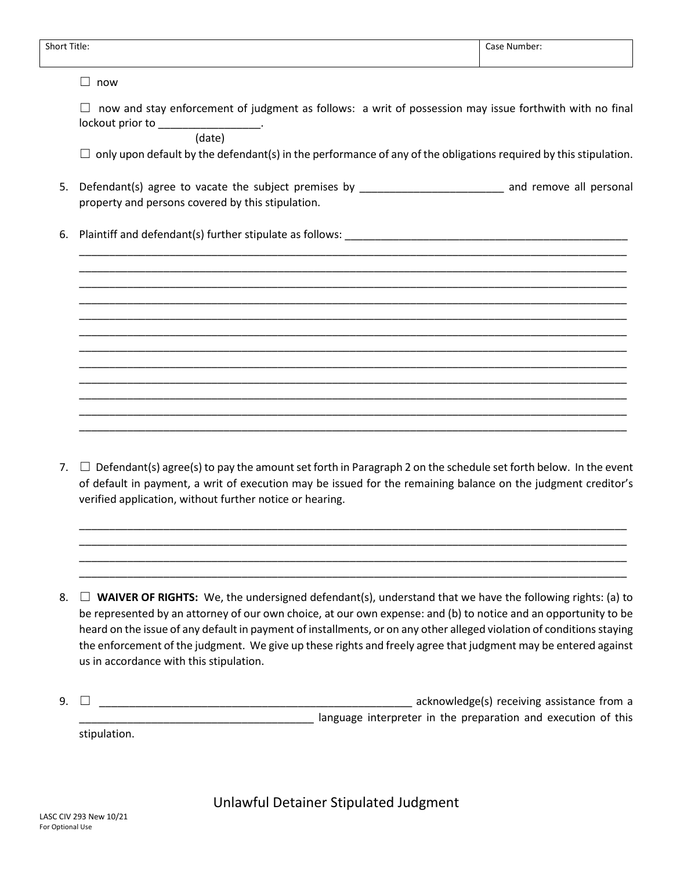| $\Box$ now and stay enforcement of judgment as follows: a writ of possession may issue forthwith with no final<br>$\Box$ only upon default by the defendant(s) in the performance of any of the obligations required by this stipulation. |
|-------------------------------------------------------------------------------------------------------------------------------------------------------------------------------------------------------------------------------------------|
|                                                                                                                                                                                                                                           |
|                                                                                                                                                                                                                                           |
|                                                                                                                                                                                                                                           |
| Defendant(s) agree to vacate the subject premises by ___________________________ and remove all personal                                                                                                                                  |
|                                                                                                                                                                                                                                           |
|                                                                                                                                                                                                                                           |
|                                                                                                                                                                                                                                           |
| $\Box$ Defendant(s) agree(s) to pay the amount set forth in Paragraph 2 on the schedule set forth below. In the event                                                                                                                     |

of default in payment, a writ of execution may be issued for the remaining balance on the judgment creditor's verified application, without further notice or hearing.

\_\_\_\_\_\_\_\_\_\_\_\_\_\_\_\_\_\_\_\_\_\_\_\_\_\_\_\_\_\_\_\_\_\_\_\_\_\_\_\_\_\_\_\_\_\_\_\_\_\_\_\_\_\_\_\_\_\_\_\_\_\_\_\_\_\_\_\_\_\_\_\_\_\_\_\_\_\_\_\_\_\_\_\_\_\_\_\_\_\_\_ \_\_\_\_\_\_\_\_\_\_\_\_\_\_\_\_\_\_\_\_\_\_\_\_\_\_\_\_\_\_\_\_\_\_\_\_\_\_\_\_\_\_\_\_\_\_\_\_\_\_\_\_\_\_\_\_\_\_\_\_\_\_\_\_\_\_\_\_\_\_\_\_\_\_\_\_\_\_\_\_\_\_\_\_\_\_\_\_\_\_\_ \_\_\_\_\_\_\_\_\_\_\_\_\_\_\_\_\_\_\_\_\_\_\_\_\_\_\_\_\_\_\_\_\_\_\_\_\_\_\_\_\_\_\_\_\_\_\_\_\_\_\_\_\_\_\_\_\_\_\_\_\_\_\_\_\_\_\_\_\_\_\_\_\_\_\_\_\_\_\_\_\_\_\_\_\_\_\_\_\_\_\_ \_\_\_\_\_\_\_\_\_\_\_\_\_\_\_\_\_\_\_\_\_\_\_\_\_\_\_\_\_\_\_\_\_\_\_\_\_\_\_\_\_\_\_\_\_\_\_\_\_\_\_\_\_\_\_\_\_\_\_\_\_\_\_\_\_\_\_\_\_\_\_\_\_\_\_\_\_\_\_\_\_\_\_\_\_\_\_\_\_\_\_

8.  $\Box$  **WAIVER OF RIGHTS:** We, the undersigned defendant(s), understand that we have the following rights: (a) to be represented by an attorney of our own choice, at our own expense: and (b) to notice and an opportunity to be heard on the issue of any default in payment of installments, or on any other alleged violation of conditions staying the enforcement of the judgment. We give up these rights and freely agree that judgment may be entered against us in accordance with this stipulation.

| 9. [ | acknowledge(s) receiving assistance from a |              |                                                               |
|------|--------------------------------------------|--------------|---------------------------------------------------------------|
|      |                                            |              | language interpreter in the preparation and execution of this |
|      |                                            | stipulation. |                                                               |

Unlawful Detainer Stipulated Judgment